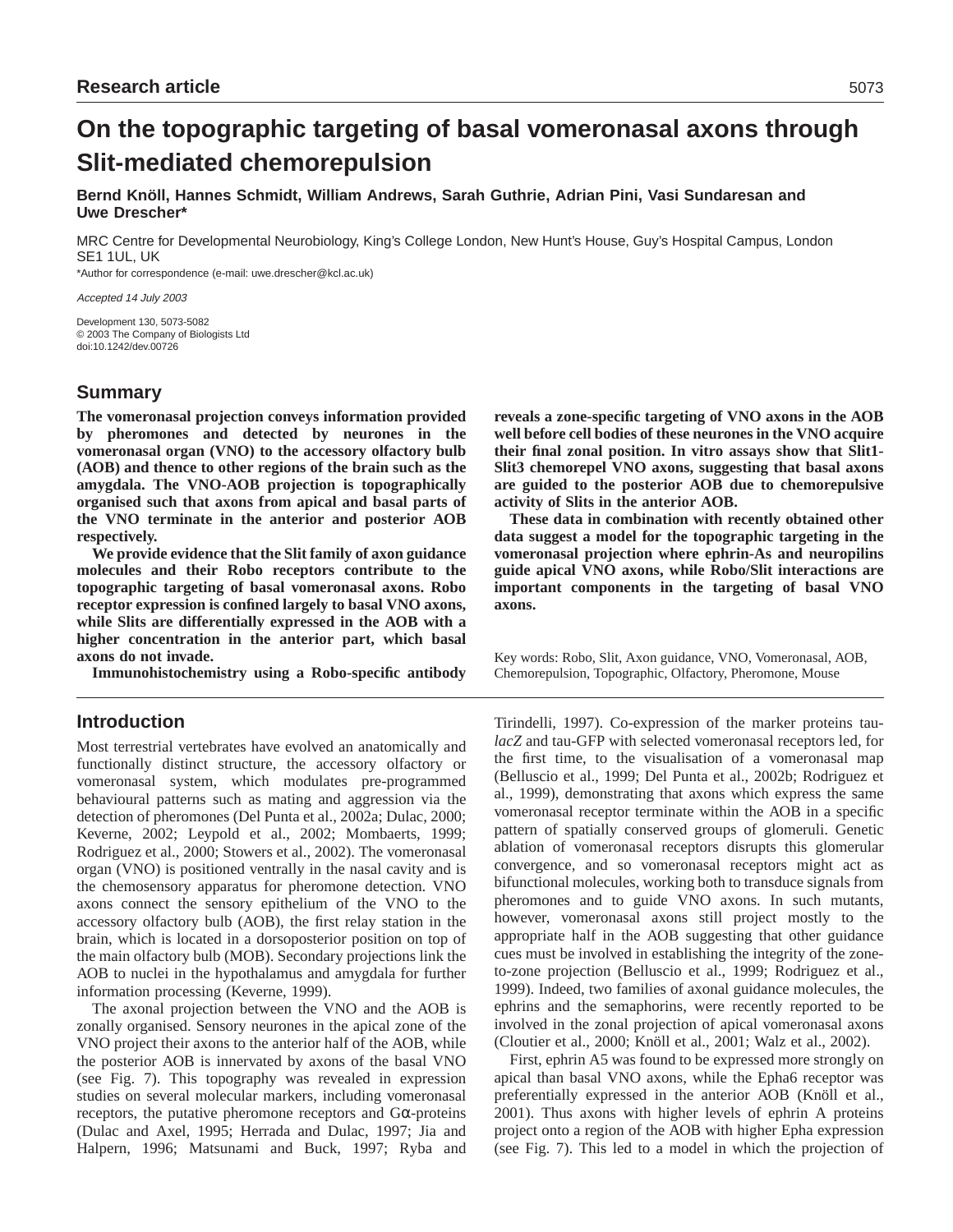# **On the topographic targeting of basal vomeronasal axons through Slit-mediated chemorepulsion**

**Bernd Knöll, Hannes Schmidt, William Andrews, Sarah Guthrie, Adrian Pini, Vasi Sundaresan and Uwe Drescher\***

MRC Centre for Developmental Neurobiology, King's College London, New Hunt's House, Guy's Hospital Campus, London SE1 1UL, UK

\*Author for correspondence (e-mail: uwe.drescher@kcl.ac.uk)

Accepted 14 July 2003

Development 130, 5073-5082 © 2003 The Company of Biologists Ltd doi:10.1242/dev.00726

# **Summary**

**The vomeronasal projection conveys information provided by pheromones and detected by neurones in the vomeronasal organ (VNO) to the accessory olfactory bulb (AOB) and thence to other regions of the brain such as the amygdala. The VNO-AOB projection is topographically organised such that axons from apical and basal parts of the VNO terminate in the anterior and posterior AOB respectively.** 

**We provide evidence that the Slit family of axon guidance molecules and their Robo receptors contribute to the topographic targeting of basal vomeronasal axons. Robo receptor expression is confined largely to basal VNO axons, while Slits are differentially expressed in the AOB with a higher concentration in the anterior part, which basal axons do not invade.** 

**Immunohistochemistry using a Robo-specific antibody**

# **Introduction**

Most terrestrial vertebrates have evolved an anatomically and functionally distinct structure, the accessory olfactory or vomeronasal system, which modulates pre-programmed behavioural patterns such as mating and aggression via the detection of pheromones (Del Punta et al., 2002a; Dulac, 2000; Keverne, 2002; Leypold et al., 2002; Mombaerts, 1999; Rodriguez et al., 2000; Stowers et al., 2002). The vomeronasal organ (VNO) is positioned ventrally in the nasal cavity and is the chemosensory apparatus for pheromone detection. VNO axons connect the sensory epithelium of the VNO to the accessory olfactory bulb (AOB), the first relay station in the brain, which is located in a dorsoposterior position on top of the main olfactory bulb (MOB). Secondary projections link the AOB to nuclei in the hypothalamus and amygdala for further information processing (Keverne, 1999).

The axonal projection between the VNO and the AOB is zonally organised. Sensory neurones in the apical zone of the VNO project their axons to the anterior half of the AOB, while the posterior AOB is innervated by axons of the basal VNO (see Fig. 7). This topography was revealed in expression studies on several molecular markers, including vomeronasal receptors, the putative pheromone receptors and Gα-proteins (Dulac and Axel, 1995; Herrada and Dulac, 1997; Jia and Halpern, 1996; Matsunami and Buck, 1997; Ryba and **reveals a zone-specific targeting of VNO axons in the AOB well before cell bodies of these neurones in the VNO acquire their final zonal position. In vitro assays show that Slit1- Slit3 chemorepel VNO axons, suggesting that basal axons are guided to the posterior AOB due to chemorepulsive activity of Slits in the anterior AOB.**

**These data in combination with recently obtained other data suggest a model for the topographic targeting in the vomeronasal projection where ephrin-As and neuropilins guide apical VNO axons, while Robo/Slit interactions are important components in the targeting of basal VNO axons.** 

Key words: Robo, Slit, Axon guidance, VNO, Vomeronasal, AOB, Chemorepulsion, Topographic, Olfactory, Pheromone, Mouse

Tirindelli, 1997). Co-expression of the marker proteins tau*lacZ* and tau-GFP with selected vomeronasal receptors led, for the first time, to the visualisation of a vomeronasal map (Belluscio et al., 1999; Del Punta et al., 2002b; Rodriguez et al., 1999), demonstrating that axons which express the same vomeronasal receptor terminate within the AOB in a specific pattern of spatially conserved groups of glomeruli. Genetic ablation of vomeronasal receptors disrupts this glomerular convergence, and so vomeronasal receptors might act as bifunctional molecules, working both to transduce signals from pheromones and to guide VNO axons. In such mutants, however, vomeronasal axons still project mostly to the appropriate half in the AOB suggesting that other guidance cues must be involved in establishing the integrity of the zoneto-zone projection (Belluscio et al., 1999; Rodriguez et al., 1999). Indeed, two families of axonal guidance molecules, the ephrins and the semaphorins, were recently reported to be involved in the zonal projection of apical vomeronasal axons (Cloutier et al., 2000; Knöll et al., 2001; Walz et al., 2002).

First, ephrin A5 was found to be expressed more strongly on apical than basal VNO axons, while the Epha6 receptor was preferentially expressed in the anterior AOB (Knöll et al., 2001). Thus axons with higher levels of ephrin A proteins project onto a region of the AOB with higher Epha expression (see Fig. 7). This led to a model in which the projection of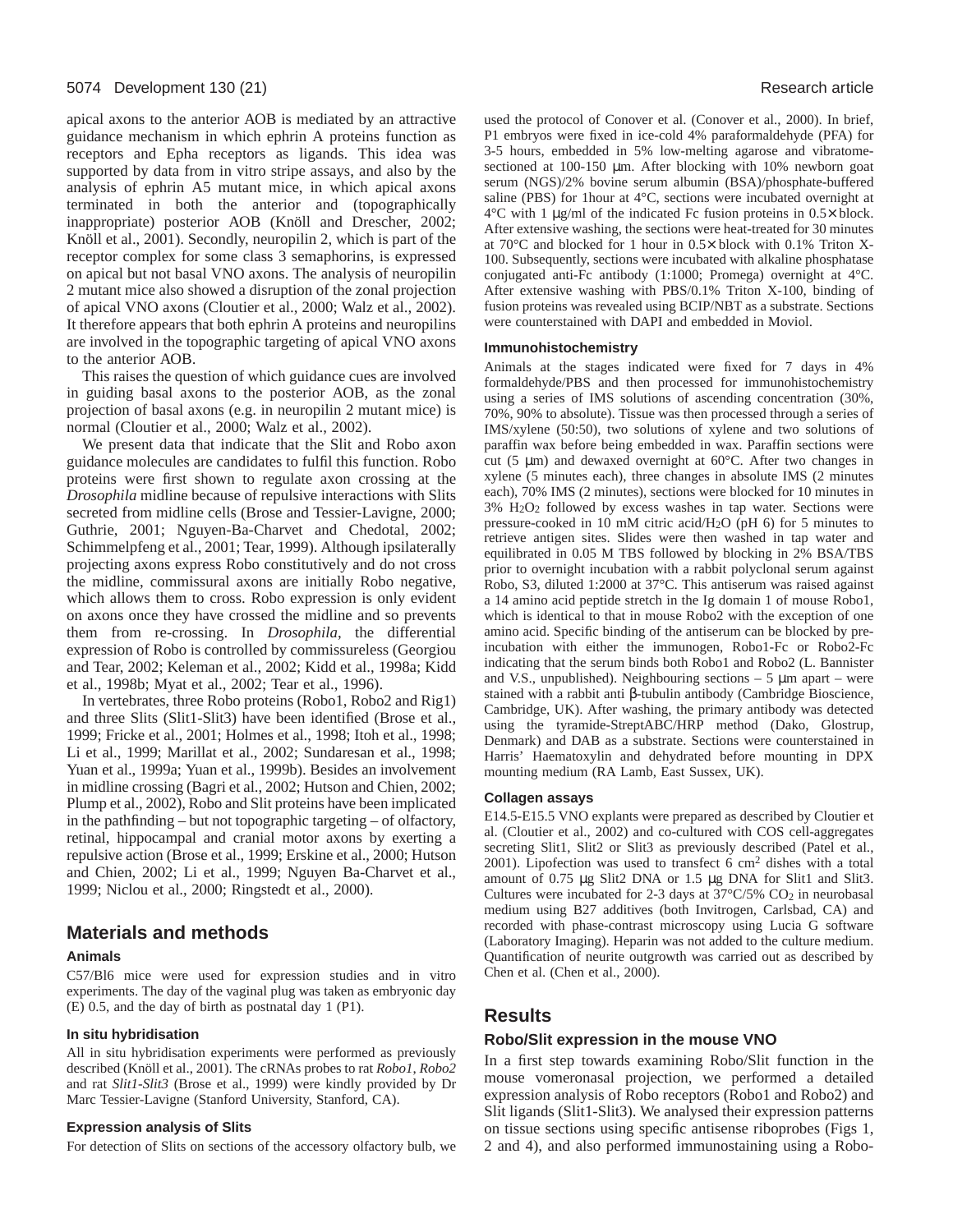apical axons to the anterior AOB is mediated by an attractive guidance mechanism in which ephrin A proteins function as receptors and Epha receptors as ligands. This idea was supported by data from in vitro stripe assays, and also by the analysis of ephrin A5 mutant mice, in which apical axons terminated in both the anterior and (topographically inappropriate) posterior AOB (Knöll and Drescher, 2002; Knöll et al., 2001). Secondly, neuropilin 2, which is part of the receptor complex for some class 3 semaphorins, is expressed on apical but not basal VNO axons. The analysis of neuropilin 2 mutant mice also showed a disruption of the zonal projection of apical VNO axons (Cloutier et al., 2000; Walz et al., 2002). It therefore appears that both ephrin A proteins and neuropilins are involved in the topographic targeting of apical VNO axons to the anterior AOB.

This raises the question of which guidance cues are involved in guiding basal axons to the posterior AOB, as the zonal projection of basal axons (e.g. in neuropilin 2 mutant mice) is normal (Cloutier et al., 2000; Walz et al., 2002).

We present data that indicate that the Slit and Robo axon guidance molecules are candidates to fulfil this function. Robo proteins were first shown to regulate axon crossing at the *Drosophila* midline because of repulsive interactions with Slits secreted from midline cells (Brose and Tessier-Lavigne, 2000; Guthrie, 2001; Nguyen-Ba-Charvet and Chedotal, 2002; Schimmelpfeng et al., 2001; Tear, 1999). Although ipsilaterally projecting axons express Robo constitutively and do not cross the midline, commissural axons are initially Robo negative, which allows them to cross. Robo expression is only evident on axons once they have crossed the midline and so prevents them from re-crossing. In *Drosophila*, the differential expression of Robo is controlled by commissureless (Georgiou and Tear, 2002; Keleman et al., 2002; Kidd et al., 1998a; Kidd et al., 1998b; Myat et al., 2002; Tear et al., 1996).

In vertebrates, three Robo proteins (Robo1, Robo2 and Rig1) and three Slits (Slit1-Slit3) have been identified (Brose et al., 1999; Fricke et al., 2001; Holmes et al., 1998; Itoh et al., 1998; Li et al., 1999; Marillat et al., 2002; Sundaresan et al., 1998; Yuan et al., 1999a; Yuan et al., 1999b). Besides an involvement in midline crossing (Bagri et al., 2002; Hutson and Chien, 2002; Plump et al., 2002), Robo and Slit proteins have been implicated in the pathfinding – but not topographic targeting – of olfactory, retinal, hippocampal and cranial motor axons by exerting a repulsive action (Brose et al., 1999; Erskine et al., 2000; Hutson and Chien, 2002; Li et al., 1999; Nguyen Ba-Charvet et al., 1999; Niclou et al., 2000; Ringstedt et al., 2000).

# **Materials and methods**

#### **Animals**

C57/Bl6 mice were used for expression studies and in vitro experiments. The day of the vaginal plug was taken as embryonic day (E) 0.5, and the day of birth as postnatal day 1 (P1).

#### **In situ hybridisation**

All in situ hybridisation experiments were performed as previously described (Knöll et al., 2001). The cRNAs probes to rat *Robo1*, *Robo2* and rat *Slit1*-*Slit3* (Brose et al., 1999) were kindly provided by Dr Marc Tessier-Lavigne (Stanford University, Stanford, CA).

#### **Expression analysis of Slits**

For detection of Slits on sections of the accessory olfactory bulb, we

used the protocol of Conover et al. (Conover et al., 2000). In brief, P1 embryos were fixed in ice-cold 4% paraformaldehyde (PFA) for 3-5 hours, embedded in 5% low-melting agarose and vibratomesectioned at 100-150 µm. After blocking with 10% newborn goat serum (NGS)/2% bovine serum albumin (BSA)/phosphate-buffered saline (PBS) for 1hour at 4°C, sections were incubated overnight at  $4^{\circ}$ C with 1 µg/ml of the indicated Fc fusion proteins in 0.5 $\times$  block. After extensive washing, the sections were heat-treated for 30 minutes at 70°C and blocked for 1 hour in 0.5× block with 0.1% Triton X-100. Subsequently, sections were incubated with alkaline phosphatase conjugated anti-Fc antibody (1:1000; Promega) overnight at 4°C. After extensive washing with PBS/0.1% Triton X-100, binding of fusion proteins was revealed using BCIP/NBT as a substrate. Sections were counterstained with DAPI and embedded in Moviol.

#### **Immunohistochemistry**

Animals at the stages indicated were fixed for 7 days in 4% formaldehyde/PBS and then processed for immunohistochemistry using a series of IMS solutions of ascending concentration (30%, 70%, 90% to absolute). Tissue was then processed through a series of IMS/xylene (50:50), two solutions of xylene and two solutions of paraffin wax before being embedded in wax. Paraffin sections were cut (5 µm) and dewaxed overnight at 60°C. After two changes in xylene (5 minutes each), three changes in absolute IMS (2 minutes each), 70% IMS (2 minutes), sections were blocked for 10 minutes in  $3\%$  H<sub>2</sub>O<sub>2</sub> followed by excess washes in tap water. Sections were pressure-cooked in 10 mM citric acid/H2O (pH 6) for 5 minutes to retrieve antigen sites. Slides were then washed in tap water and equilibrated in 0.05 M TBS followed by blocking in 2% BSA/TBS prior to overnight incubation with a rabbit polyclonal serum against Robo, S3, diluted 1:2000 at 37°C. This antiserum was raised against a 14 amino acid peptide stretch in the Ig domain 1 of mouse Robo1, which is identical to that in mouse Robo2 with the exception of one amino acid. Specific binding of the antiserum can be blocked by preincubation with either the immunogen, Robo1-Fc or Robo2-Fc indicating that the serum binds both Robo1 and Robo2 (L. Bannister and V.S., unpublished). Neighbouring sections  $-5 \mu m$  apart – were stained with a rabbit anti β-tubulin antibody (Cambridge Bioscience, Cambridge, UK). After washing, the primary antibody was detected using the tyramide-StreptABC/HRP method (Dako, Glostrup, Denmark) and DAB as a substrate. Sections were counterstained in Harris' Haematoxylin and dehydrated before mounting in DPX mounting medium (RA Lamb, East Sussex, UK).

#### **Collagen assays**

E14.5-E15.5 VNO explants were prepared as described by Cloutier et al. (Cloutier et al., 2002) and co-cultured with COS cell-aggregates secreting Slit1, Slit2 or Slit3 as previously described (Patel et al., 2001). Lipofection was used to transfect 6 cm<sup>2</sup> dishes with a total amount of 0.75 µg Slit2 DNA or 1.5 µg DNA for Slit1 and Slit3. Cultures were incubated for 2-3 days at  $37^{\circ}$ C/5% CO<sub>2</sub> in neurobasal medium using B27 additives (both Invitrogen, Carlsbad, CA) and recorded with phase-contrast microscopy using Lucia G software (Laboratory Imaging). Heparin was not added to the culture medium. Quantification of neurite outgrowth was carried out as described by Chen et al. (Chen et al., 2000).

# **Results**

# **Robo/Slit expression in the mouse VNO**

In a first step towards examining Robo/Slit function in the mouse vomeronasal projection, we performed a detailed expression analysis of Robo receptors (Robo1 and Robo2) and Slit ligands (Slit1-Slit3). We analysed their expression patterns on tissue sections using specific antisense riboprobes (Figs 1, 2 and 4), and also performed immunostaining using a Robo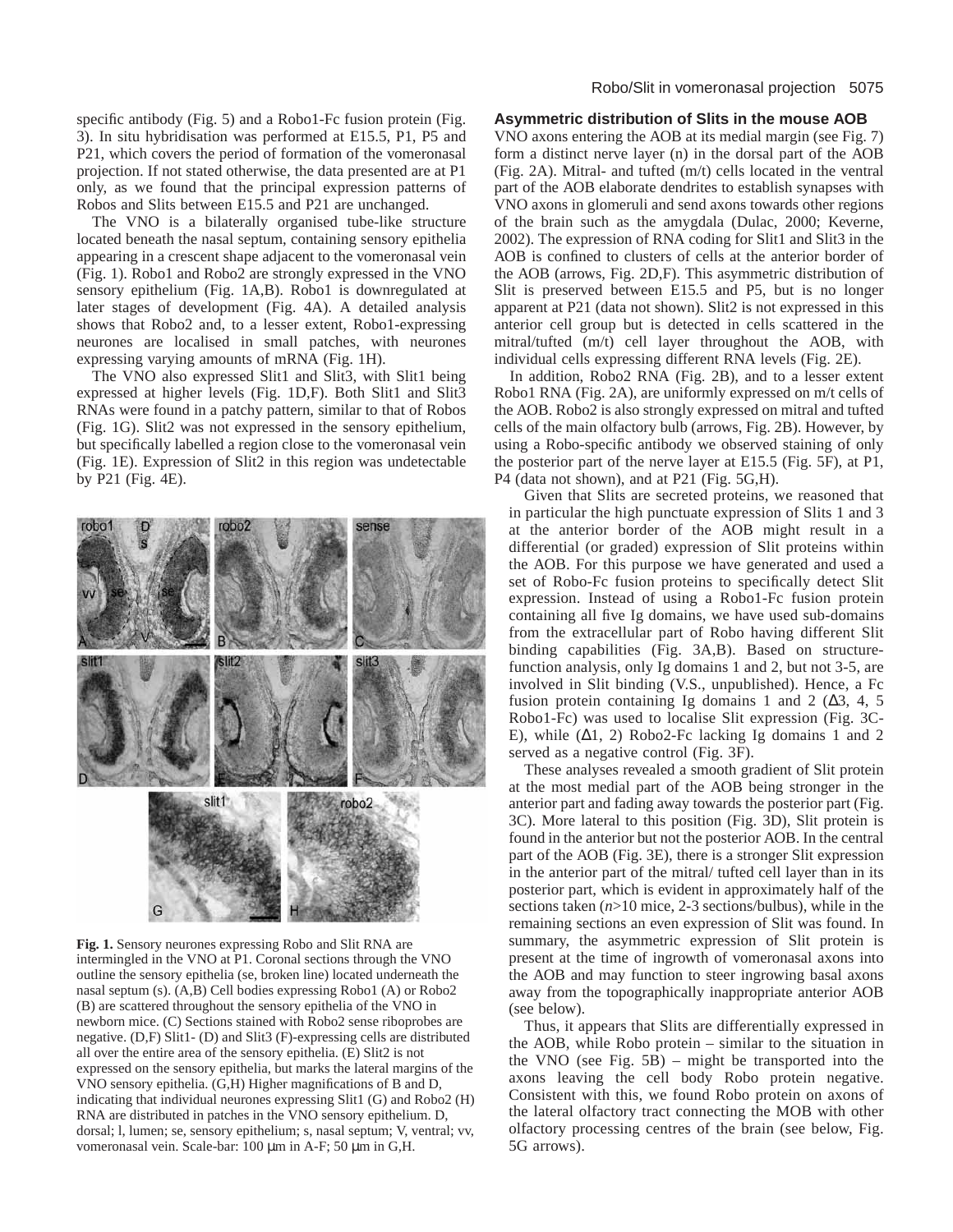specific antibody (Fig. 5) and a Robo1-Fc fusion protein (Fig. 3). In situ hybridisation was performed at E15.5, P1, P5 and P21, which covers the period of formation of the vomeronasal projection. If not stated otherwise, the data presented are at P1 only, as we found that the principal expression patterns of Robos and Slits between E15.5 and P21 are unchanged.

The VNO is a bilaterally organised tube-like structure located beneath the nasal septum, containing sensory epithelia appearing in a crescent shape adjacent to the vomeronasal vein (Fig. 1). Robo1 and Robo2 are strongly expressed in the VNO sensory epithelium (Fig. 1A,B). Robo1 is downregulated at later stages of development (Fig. 4A). A detailed analysis shows that Robo2 and, to a lesser extent, Robo1-expressing neurones are localised in small patches, with neurones expressing varying amounts of mRNA (Fig. 1H).

The VNO also expressed Slit1 and Slit3, with Slit1 being expressed at higher levels (Fig. 1D,F). Both Slit1 and Slit3 RNAs were found in a patchy pattern, similar to that of Robos (Fig. 1G). Slit2 was not expressed in the sensory epithelium, but specifically labelled a region close to the vomeronasal vein (Fig. 1E). Expression of Slit2 in this region was undetectable by P21 (Fig. 4E).



**Fig. 1.** Sensory neurones expressing Robo and Slit RNA are intermingled in the VNO at P1. Coronal sections through the VNO outline the sensory epithelia (se, broken line) located underneath the nasal septum (s). (A,B) Cell bodies expressing Robo1 (A) or Robo2 (B) are scattered throughout the sensory epithelia of the VNO in newborn mice. (C) Sections stained with Robo2 sense riboprobes are negative. (D,F) Slit1- (D) and Slit3 (F)-expressing cells are distributed all over the entire area of the sensory epithelia. (E) Slit2 is not expressed on the sensory epithelia, but marks the lateral margins of the VNO sensory epithelia. (G,H) Higher magnifications of B and D, indicating that individual neurones expressing Slit1 (G) and Robo2 (H) RNA are distributed in patches in the VNO sensory epithelium. D, dorsal; l, lumen; se, sensory epithelium; s, nasal septum; V, ventral; vv, vomeronasal vein. Scale-bar: 100 µm in A-F; 50 µm in G,H.

## **Asymmetric distribution of Slits in the mouse AOB**

VNO axons entering the AOB at its medial margin (see Fig. 7) form a distinct nerve layer (n) in the dorsal part of the AOB (Fig. 2A). Mitral- and tufted (m/t) cells located in the ventral part of the AOB elaborate dendrites to establish synapses with VNO axons in glomeruli and send axons towards other regions of the brain such as the amygdala (Dulac, 2000; Keverne, 2002). The expression of RNA coding for Slit1 and Slit3 in the AOB is confined to clusters of cells at the anterior border of the AOB (arrows, Fig. 2D,F). This asymmetric distribution of Slit is preserved between E15.5 and P5, but is no longer apparent at P21 (data not shown). Slit2 is not expressed in this anterior cell group but is detected in cells scattered in the mitral/tufted (m/t) cell layer throughout the AOB, with individual cells expressing different RNA levels (Fig. 2E).

In addition, Robo2 RNA (Fig. 2B), and to a lesser extent Robo1 RNA (Fig. 2A), are uniformly expressed on m/t cells of the AOB. Robo2 is also strongly expressed on mitral and tufted cells of the main olfactory bulb (arrows, Fig. 2B). However, by using a Robo-specific antibody we observed staining of only the posterior part of the nerve layer at E15.5 (Fig. 5F), at P1, P4 (data not shown), and at P21 (Fig. 5G,H).

Given that Slits are secreted proteins, we reasoned that in particular the high punctuate expression of Slits 1 and 3 at the anterior border of the AOB might result in a differential (or graded) expression of Slit proteins within the AOB. For this purpose we have generated and used a set of Robo-Fc fusion proteins to specifically detect Slit expression. Instead of using a Robo1-Fc fusion protein containing all five Ig domains, we have used sub-domains from the extracellular part of Robo having different Slit binding capabilities (Fig. 3A,B). Based on structurefunction analysis, only Ig domains 1 and 2, but not 3-5, are involved in Slit binding (V.S., unpublished). Hence, a Fc fusion protein containing Ig domains 1 and 2  $(\Delta 3, 4, 5)$ Robo1-Fc) was used to localise Slit expression (Fig. 3C-E), while  $(\Delta 1, 2)$  Robo2-Fc lacking Ig domains 1 and 2 served as a negative control (Fig. 3F).

These analyses revealed a smooth gradient of Slit protein at the most medial part of the AOB being stronger in the anterior part and fading away towards the posterior part (Fig. 3C). More lateral to this position (Fig. 3D), Slit protein is found in the anterior but not the posterior AOB. In the central part of the AOB (Fig. 3E), there is a stronger Slit expression in the anterior part of the mitral/ tufted cell layer than in its posterior part, which is evident in approximately half of the sections taken (*n*>10 mice, 2-3 sections/bulbus), while in the remaining sections an even expression of Slit was found. In summary, the asymmetric expression of Slit protein is present at the time of ingrowth of vomeronasal axons into the AOB and may function to steer ingrowing basal axons away from the topographically inappropriate anterior AOB (see below).

Thus, it appears that Slits are differentially expressed in the AOB, while Robo protein – similar to the situation in the VNO (see Fig. 5B) – might be transported into the axons leaving the cell body Robo protein negative. Consistent with this, we found Robo protein on axons of the lateral olfactory tract connecting the MOB with other olfactory processing centres of the brain (see below, Fig. 5G arrows).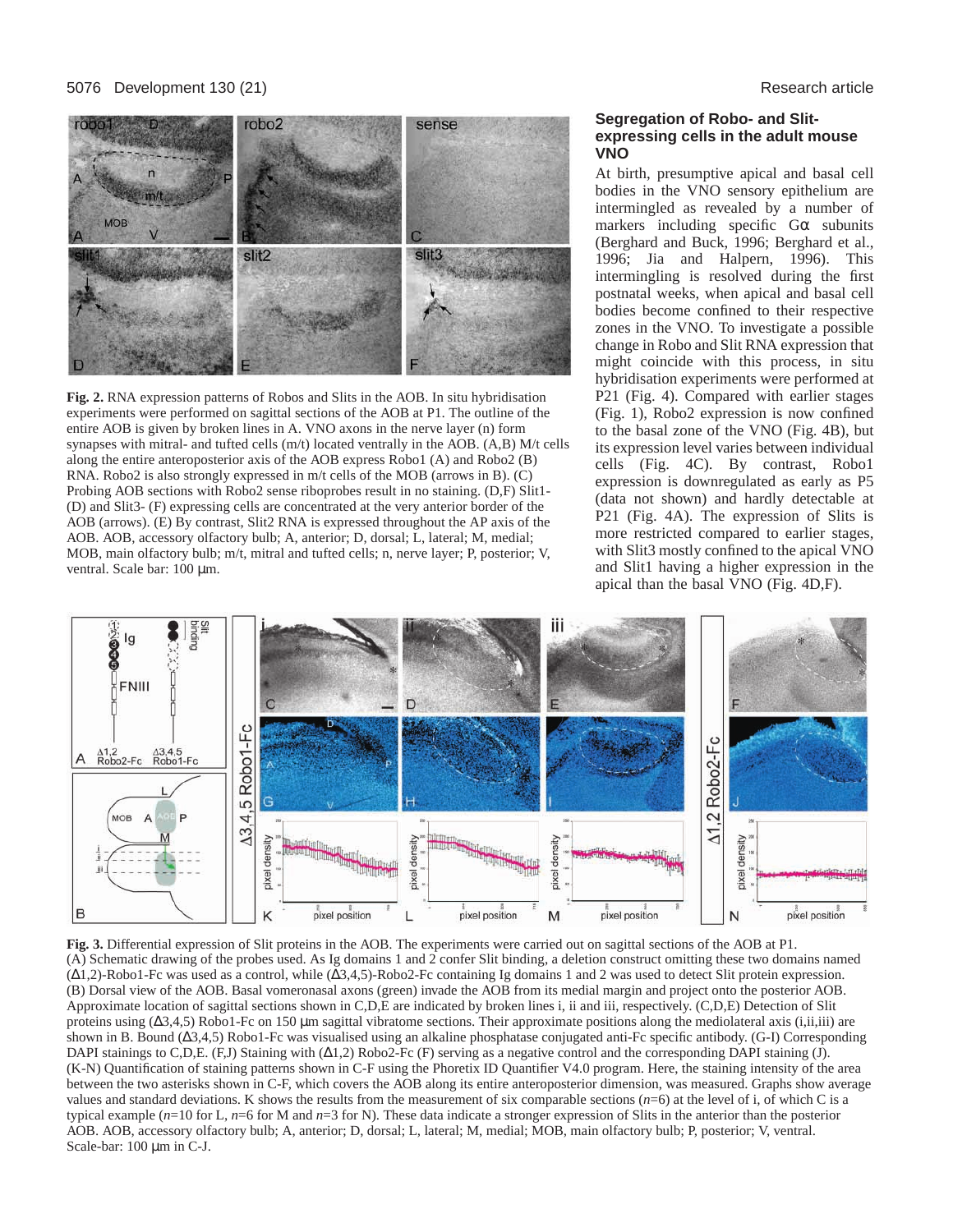

**Fig. 2.** RNA expression patterns of Robos and Slits in the AOB. In situ hybridisation experiments were performed on sagittal sections of the AOB at P1. The outline of the entire AOB is given by broken lines in A. VNO axons in the nerve layer (n) form synapses with mitral- and tufted cells (m/t) located ventrally in the AOB. (A,B) M/t cells along the entire anteroposterior axis of the AOB express Robo1 (A) and Robo2 (B) RNA. Robo2 is also strongly expressed in m/t cells of the MOB (arrows in B). (C) Probing AOB sections with Robo2 sense riboprobes result in no staining. (D,F) Slit1- (D) and Slit3- (F) expressing cells are concentrated at the very anterior border of the AOB (arrows). (E) By contrast, Slit2 RNA is expressed throughout the AP axis of the AOB. AOB, accessory olfactory bulb; A, anterior; D, dorsal; L, lateral; M, medial; MOB, main olfactory bulb; m/t, mitral and tufted cells; n, nerve layer; P, posterior; V, ventral. Scale bar: 100 µm.

## **Segregation of Robo- and Slitexpressing cells in the adult mouse VNO**

At birth, presumptive apical and basal cell bodies in the VNO sensory epithelium are intermingled as revealed by a number of markers including specific  $G\alpha$  subunits (Berghard and Buck, 1996; Berghard et al., 1996; Jia and Halpern, 1996). This intermingling is resolved during the first postnatal weeks, when apical and basal cell bodies become confined to their respective zones in the VNO. To investigate a possible change in Robo and Slit RNA expression that might coincide with this process, in situ hybridisation experiments were performed at P21 (Fig. 4). Compared with earlier stages (Fig. 1), Robo2 expression is now confined to the basal zone of the VNO (Fig. 4B), but its expression level varies between individual cells (Fig. 4C). By contrast, Robo1 expression is downregulated as early as P5 (data not shown) and hardly detectable at P21 (Fig. 4A). The expression of Slits is more restricted compared to earlier stages, with Slit3 mostly confined to the apical VNO and Slit1 having a higher expression in the apical than the basal VNO (Fig. 4D,F).



**Fig. 3.** Differential expression of Slit proteins in the AOB. The experiments were carried out on sagittal sections of the AOB at P1. (A) Schematic drawing of the probes used. As Ig domains 1 and 2 confer Slit binding, a deletion construct omitting these two domains named (∆1,2)-Robo1-Fc was used as a control, while (∆3,4,5)-Robo2-Fc containing Ig domains 1 and 2 was used to detect Slit protein expression. (B) Dorsal view of the AOB. Basal vomeronasal axons (green) invade the AOB from its medial margin and project onto the posterior AOB. Approximate location of sagittal sections shown in C,D,E are indicated by broken lines i, ii and iii, respectively. (C,D,E) Detection of Slit proteins using (∆3,4,5) Robo1-Fc on 150 µm sagittal vibratome sections. Their approximate positions along the mediolateral axis (i,ii,iii) are shown in B. Bound (∆3,4,5) Robo1-Fc was visualised using an alkaline phosphatase conjugated anti-Fc specific antibody. (G-I) Corresponding DAPI stainings to C,D,E. (F,J) Staining with (∆1,2) Robo2-Fc (F) serving as a negative control and the corresponding DAPI staining (J). (K-N) Quantification of staining patterns shown in C-F using the Phoretix ID Quantifier V4.0 program. Here, the staining intensity of the area between the two asterisks shown in C-F, which covers the AOB along its entire anteroposterior dimension, was measured. Graphs show average values and standard deviations. K shows the results from the measurement of six comparable sections  $(n=6)$  at the level of i, of which C is a typical example (*n*=10 for L, *n*=6 for M and *n*=3 for N). These data indicate a stronger expression of Slits in the anterior than the posterior AOB. AOB, accessory olfactory bulb; A, anterior; D, dorsal; L, lateral; M, medial; MOB, main olfactory bulb; P, posterior; V, ventral. Scale-bar: 100 µm in C-J.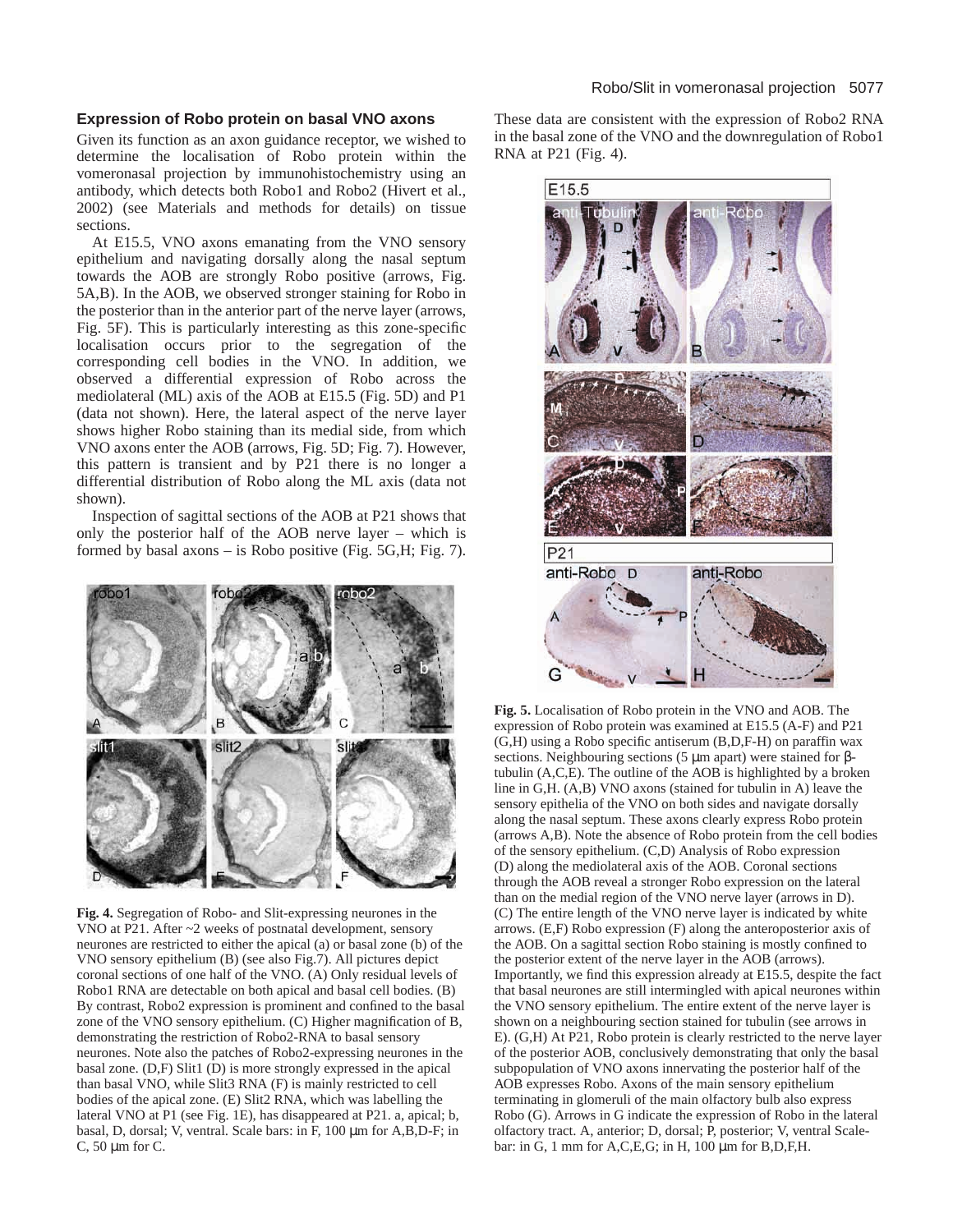# **Expression of Robo protein on basal VNO axons**

Given its function as an axon guidance receptor, we wished to determine the localisation of Robo protein within the vomeronasal projection by immunohistochemistry using an antibody, which detects both Robo1 and Robo2 (Hivert et al., 2002) (see Materials and methods for details) on tissue sections.

At E15.5, VNO axons emanating from the VNO sensory epithelium and navigating dorsally along the nasal septum towards the AOB are strongly Robo positive (arrows, Fig. 5A,B). In the AOB, we observed stronger staining for Robo in the posterior than in the anterior part of the nerve layer (arrows, Fig. 5F). This is particularly interesting as this zone-specific localisation occurs prior to the segregation of the corresponding cell bodies in the VNO. In addition, we observed a differential expression of Robo across the mediolateral (ML) axis of the AOB at E15.5 (Fig. 5D) and P1 (data not shown). Here, the lateral aspect of the nerve layer shows higher Robo staining than its medial side, from which VNO axons enter the AOB (arrows, Fig. 5D; Fig. 7). However, this pattern is transient and by P21 there is no longer a differential distribution of Robo along the ML axis (data not shown).

Inspection of sagittal sections of the AOB at P21 shows that only the posterior half of the AOB nerve layer – which is formed by basal axons – is Robo positive (Fig. 5G,H; Fig. 7).



**Fig. 4.** Segregation of Robo- and Slit-expressing neurones in the VNO at P21. After ~2 weeks of postnatal development, sensory neurones are restricted to either the apical (a) or basal zone (b) of the VNO sensory epithelium (B) (see also Fig.7). All pictures depict coronal sections of one half of the VNO. (A) Only residual levels of Robo1 RNA are detectable on both apical and basal cell bodies. (B) By contrast, Robo2 expression is prominent and confined to the basal zone of the VNO sensory epithelium. (C) Higher magnification of B, demonstrating the restriction of Robo2-RNA to basal sensory neurones. Note also the patches of Robo2-expressing neurones in the basal zone. (D,F) Slit1 (D) is more strongly expressed in the apical than basal VNO, while Slit3 RNA (F) is mainly restricted to cell bodies of the apical zone. (E) Slit2 RNA, which was labelling the lateral VNO at P1 (see Fig. 1E), has disappeared at P21. a, apical; b, basal, D, dorsal; V, ventral. Scale bars: in F, 100 µm for A,B,D-F; in C, 50 µm for C.

These data are consistent with the expression of Robo2 RNA in the basal zone of the VNO and the downregulation of Robo1 RNA at P21 (Fig. 4).



**Fig. 5.** Localisation of Robo protein in the VNO and AOB. The expression of Robo protein was examined at E15.5 (A-F) and P21 (G,H) using a Robo specific antiserum (B,D,F-H) on paraffin wax sections. Neighbouring sections (5 μm apart) were stained for βtubulin (A,C,E). The outline of the AOB is highlighted by a broken line in G,H. (A,B) VNO axons (stained for tubulin in A) leave the sensory epithelia of the VNO on both sides and navigate dorsally along the nasal septum. These axons clearly express Robo protein (arrows A,B). Note the absence of Robo protein from the cell bodies of the sensory epithelium. (C,D) Analysis of Robo expression (D) along the mediolateral axis of the AOB. Coronal sections through the AOB reveal a stronger Robo expression on the lateral than on the medial region of the VNO nerve layer (arrows in D). (C) The entire length of the VNO nerve layer is indicated by white arrows. (E,F) Robo expression (F) along the anteroposterior axis of the AOB. On a sagittal section Robo staining is mostly confined to the posterior extent of the nerve layer in the AOB (arrows). Importantly, we find this expression already at E15.5, despite the fact that basal neurones are still intermingled with apical neurones within the VNO sensory epithelium. The entire extent of the nerve layer is shown on a neighbouring section stained for tubulin (see arrows in E). (G,H) At P21, Robo protein is clearly restricted to the nerve layer of the posterior AOB, conclusively demonstrating that only the basal subpopulation of VNO axons innervating the posterior half of the AOB expresses Robo. Axons of the main sensory epithelium terminating in glomeruli of the main olfactory bulb also express Robo (G). Arrows in G indicate the expression of Robo in the lateral olfactory tract. A, anterior; D, dorsal; P, posterior; V, ventral Scalebar: in G, 1 mm for A,C,E,G; in H, 100 µm for B,D,F,H.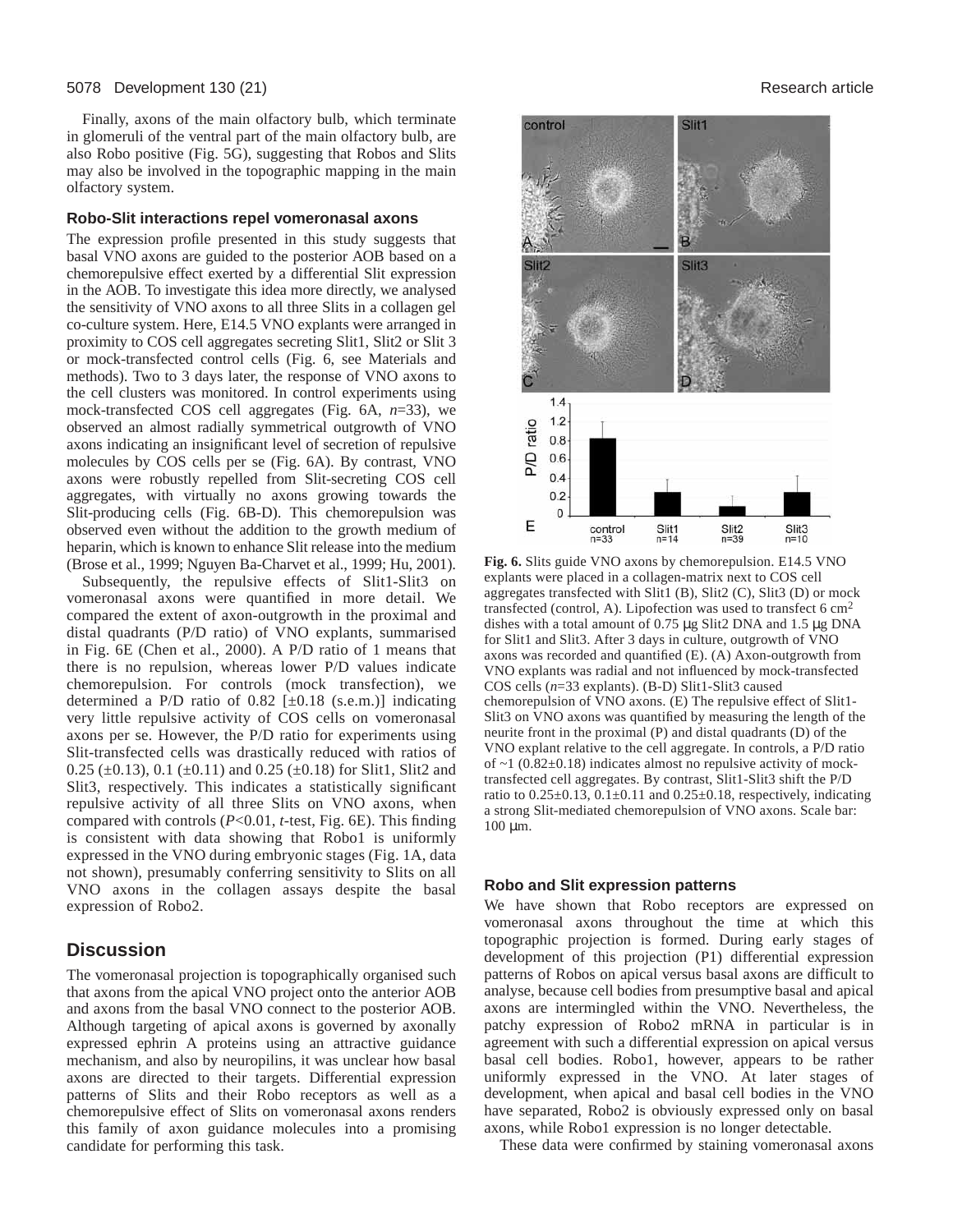#### 5078 Development 130 (21) Research article

Finally, axons of the main olfactory bulb, which terminate in glomeruli of the ventral part of the main olfactory bulb, are also Robo positive (Fig. 5G), suggesting that Robos and Slits may also be involved in the topographic mapping in the main olfactory system.

#### **Robo-Slit interactions repel vomeronasal axons**

The expression profile presented in this study suggests that basal VNO axons are guided to the posterior AOB based on a chemorepulsive effect exerted by a differential Slit expression in the AOB. To investigate this idea more directly, we analysed the sensitivity of VNO axons to all three Slits in a collagen gel co-culture system. Here, E14.5 VNO explants were arranged in proximity to COS cell aggregates secreting Slit1, Slit2 or Slit 3 or mock-transfected control cells (Fig. 6, see Materials and methods). Two to 3 days later, the response of VNO axons to the cell clusters was monitored. In control experiments using mock-transfected COS cell aggregates (Fig. 6A, *n*=33), we observed an almost radially symmetrical outgrowth of VNO axons indicating an insignificant level of secretion of repulsive molecules by COS cells per se (Fig. 6A). By contrast, VNO axons were robustly repelled from Slit-secreting COS cell aggregates, with virtually no axons growing towards the Slit-producing cells (Fig. 6B-D). This chemorepulsion was observed even without the addition to the growth medium of heparin, which is known to enhance Slit release into the medium (Brose et al., 1999; Nguyen Ba-Charvet et al., 1999; Hu, 2001).

Subsequently, the repulsive effects of Slit1-Slit3 on vomeronasal axons were quantified in more detail. We compared the extent of axon-outgrowth in the proximal and distal quadrants (P/D ratio) of VNO explants, summarised in Fig. 6E (Chen et al., 2000). A P/D ratio of 1 means that there is no repulsion, whereas lower P/D values indicate chemorepulsion. For controls (mock transfection), we determined a P/D ratio of 0.82  $[\pm 0.18$  (s.e.m.)] indicating very little repulsive activity of COS cells on vomeronasal axons per se. However, the P/D ratio for experiments using Slit-transfected cells was drastically reduced with ratios of 0.25 ( $\pm$ 0.13), 0.1 ( $\pm$ 0.11) and 0.25 ( $\pm$ 0.18) for Slit1, Slit2 and Slit3, respectively. This indicates a statistically significant repulsive activity of all three Slits on VNO axons, when compared with controls (*P*<0.01, *t*-test, Fig. 6E). This finding is consistent with data showing that Robo1 is uniformly expressed in the VNO during embryonic stages (Fig. 1A, data not shown), presumably conferring sensitivity to Slits on all VNO axons in the collagen assays despite the basal expression of Robo2.

# **Discussion**

The vomeronasal projection is topographically organised such that axons from the apical VNO project onto the anterior AOB and axons from the basal VNO connect to the posterior AOB. Although targeting of apical axons is governed by axonally expressed ephrin A proteins using an attractive guidance mechanism, and also by neuropilins, it was unclear how basal axons are directed to their targets. Differential expression patterns of Slits and their Robo receptors as well as a chemorepulsive effect of Slits on vomeronasal axons renders this family of axon guidance molecules into a promising candidate for performing this task.



**Fig. 6.** Slits guide VNO axons by chemorepulsion. E14.5 VNO explants were placed in a collagen-matrix next to COS cell aggregates transfected with Slit1 (B), Slit2 (C), Slit3 (D) or mock transfected (control, A). Lipofection was used to transfect 6 cm<sup>2</sup> dishes with a total amount of 0.75 µg Slit2 DNA and 1.5 µg DNA for Slit1 and Slit3. After 3 days in culture, outgrowth of VNO axons was recorded and quantified (E). (A) Axon-outgrowth from VNO explants was radial and not influenced by mock-transfected COS cells (*n*=33 explants). (B-D) Slit1-Slit3 caused chemorepulsion of VNO axons. (E) The repulsive effect of Slit1- Slit3 on VNO axons was quantified by measuring the length of the neurite front in the proximal (P) and distal quadrants (D) of the VNO explant relative to the cell aggregate. In controls, a P/D ratio of  $\sim$ 1 (0.82 $\pm$ 0.18) indicates almost no repulsive activity of mocktransfected cell aggregates. By contrast, Slit1-Slit3 shift the P/D ratio to  $0.25\pm0.13$ ,  $0.1\pm0.11$  and  $0.25\pm0.18$ , respectively, indicating a strong Slit-mediated chemorepulsion of VNO axons. Scale bar: 100 µm.

#### **Robo and Slit expression patterns**

We have shown that Robo receptors are expressed on vomeronasal axons throughout the time at which this topographic projection is formed. During early stages of development of this projection (P1) differential expression patterns of Robos on apical versus basal axons are difficult to analyse, because cell bodies from presumptive basal and apical axons are intermingled within the VNO. Nevertheless, the patchy expression of Robo2 mRNA in particular is in agreement with such a differential expression on apical versus basal cell bodies. Robo1, however, appears to be rather uniformly expressed in the VNO. At later stages of development, when apical and basal cell bodies in the VNO have separated, Robo2 is obviously expressed only on basal axons, while Robo1 expression is no longer detectable.

These data were confirmed by staining vomeronasal axons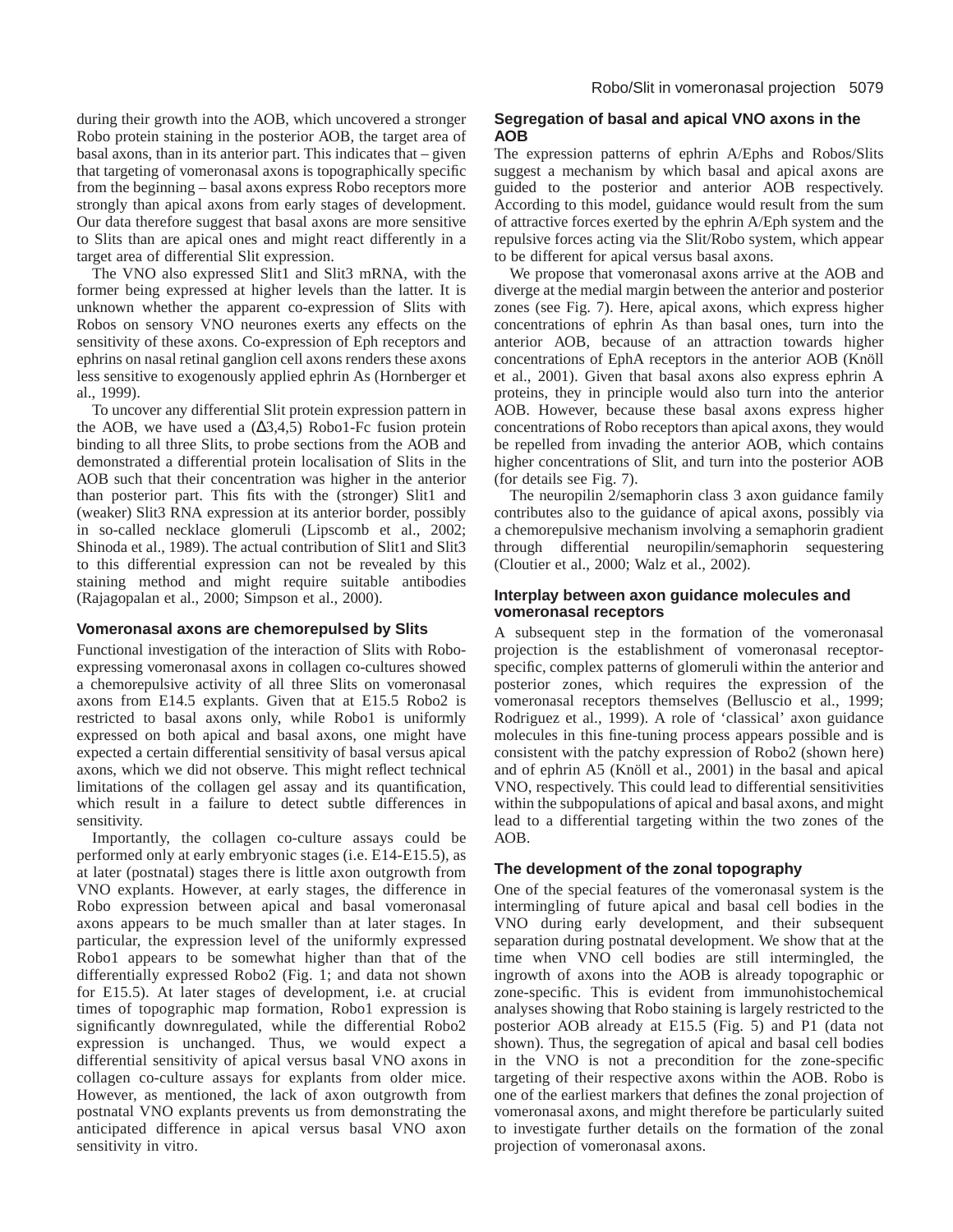during their growth into the AOB, which uncovered a stronger Robo protein staining in the posterior AOB, the target area of basal axons, than in its anterior part. This indicates that – given that targeting of vomeronasal axons is topographically specific from the beginning – basal axons express Robo receptors more strongly than apical axons from early stages of development. Our data therefore suggest that basal axons are more sensitive to Slits than are apical ones and might react differently in a target area of differential Slit expression.

The VNO also expressed Slit1 and Slit3 mRNA, with the former being expressed at higher levels than the latter. It is unknown whether the apparent co-expression of Slits with Robos on sensory VNO neurones exerts any effects on the sensitivity of these axons. Co-expression of Eph receptors and ephrins on nasal retinal ganglion cell axons renders these axons less sensitive to exogenously applied ephrin As (Hornberger et al., 1999).

To uncover any differential Slit protein expression pattern in the AOB, we have used a  $(\Delta 3, 4, 5)$  Robo1-Fc fusion protein binding to all three Slits, to probe sections from the AOB and demonstrated a differential protein localisation of Slits in the AOB such that their concentration was higher in the anterior than posterior part. This fits with the (stronger) Slit1 and (weaker) Slit3 RNA expression at its anterior border, possibly in so-called necklace glomeruli (Lipscomb et al., 2002; Shinoda et al., 1989). The actual contribution of Slit1 and Slit3 to this differential expression can not be revealed by this staining method and might require suitable antibodies (Rajagopalan et al., 2000; Simpson et al., 2000).

## **Vomeronasal axons are chemorepulsed by Slits**

Functional investigation of the interaction of Slits with Roboexpressing vomeronasal axons in collagen co-cultures showed a chemorepulsive activity of all three Slits on vomeronasal axons from E14.5 explants. Given that at E15.5 Robo2 is restricted to basal axons only, while Robo1 is uniformly expressed on both apical and basal axons, one might have expected a certain differential sensitivity of basal versus apical axons, which we did not observe. This might reflect technical limitations of the collagen gel assay and its quantification, which result in a failure to detect subtle differences in sensitivity.

Importantly, the collagen co-culture assays could be performed only at early embryonic stages (i.e. E14-E15.5), as at later (postnatal) stages there is little axon outgrowth from VNO explants. However, at early stages, the difference in Robo expression between apical and basal vomeronasal axons appears to be much smaller than at later stages. In particular, the expression level of the uniformly expressed Robo1 appears to be somewhat higher than that of the differentially expressed Robo2 (Fig. 1; and data not shown for E15.5). At later stages of development, i.e. at crucial times of topographic map formation, Robo1 expression is significantly downregulated, while the differential Robo2 expression is unchanged. Thus, we would expect a differential sensitivity of apical versus basal VNO axons in collagen co-culture assays for explants from older mice. However, as mentioned, the lack of axon outgrowth from postnatal VNO explants prevents us from demonstrating the anticipated difference in apical versus basal VNO axon sensitivity in vitro.

# **Segregation of basal and apical VNO axons in the AOB**

The expression patterns of ephrin A/Ephs and Robos/Slits suggest a mechanism by which basal and apical axons are guided to the posterior and anterior AOB respectively. According to this model, guidance would result from the sum of attractive forces exerted by the ephrin A/Eph system and the repulsive forces acting via the Slit/Robo system, which appear to be different for apical versus basal axons.

We propose that vomeronasal axons arrive at the AOB and diverge at the medial margin between the anterior and posterior zones (see Fig. 7). Here, apical axons, which express higher concentrations of ephrin As than basal ones, turn into the anterior AOB, because of an attraction towards higher concentrations of EphA receptors in the anterior AOB (Knöll et al., 2001). Given that basal axons also express ephrin A proteins, they in principle would also turn into the anterior AOB. However, because these basal axons express higher concentrations of Robo receptors than apical axons, they would be repelled from invading the anterior AOB, which contains higher concentrations of Slit, and turn into the posterior AOB (for details see Fig. 7).

The neuropilin 2/semaphorin class 3 axon guidance family contributes also to the guidance of apical axons, possibly via a chemorepulsive mechanism involving a semaphorin gradient through differential neuropilin/semaphorin sequestering (Cloutier et al., 2000; Walz et al., 2002).

#### **Interplay between axon guidance molecules and vomeronasal receptors**

A subsequent step in the formation of the vomeronasal projection is the establishment of vomeronasal receptorspecific, complex patterns of glomeruli within the anterior and posterior zones, which requires the expression of the vomeronasal receptors themselves (Belluscio et al., 1999; Rodriguez et al., 1999). A role of 'classical' axon guidance molecules in this fine-tuning process appears possible and is consistent with the patchy expression of Robo2 (shown here) and of ephrin A5 (Knöll et al., 2001) in the basal and apical VNO, respectively. This could lead to differential sensitivities within the subpopulations of apical and basal axons, and might lead to a differential targeting within the two zones of the AOB.

## **The development of the zonal topography**

One of the special features of the vomeronasal system is the intermingling of future apical and basal cell bodies in the VNO during early development, and their subsequent separation during postnatal development. We show that at the time when VNO cell bodies are still intermingled, the ingrowth of axons into the AOB is already topographic or zone-specific. This is evident from immunohistochemical analyses showing that Robo staining is largely restricted to the posterior AOB already at E15.5 (Fig. 5) and P1 (data not shown). Thus, the segregation of apical and basal cell bodies in the VNO is not a precondition for the zone-specific targeting of their respective axons within the AOB. Robo is one of the earliest markers that defines the zonal projection of vomeronasal axons, and might therefore be particularly suited to investigate further details on the formation of the zonal projection of vomeronasal axons.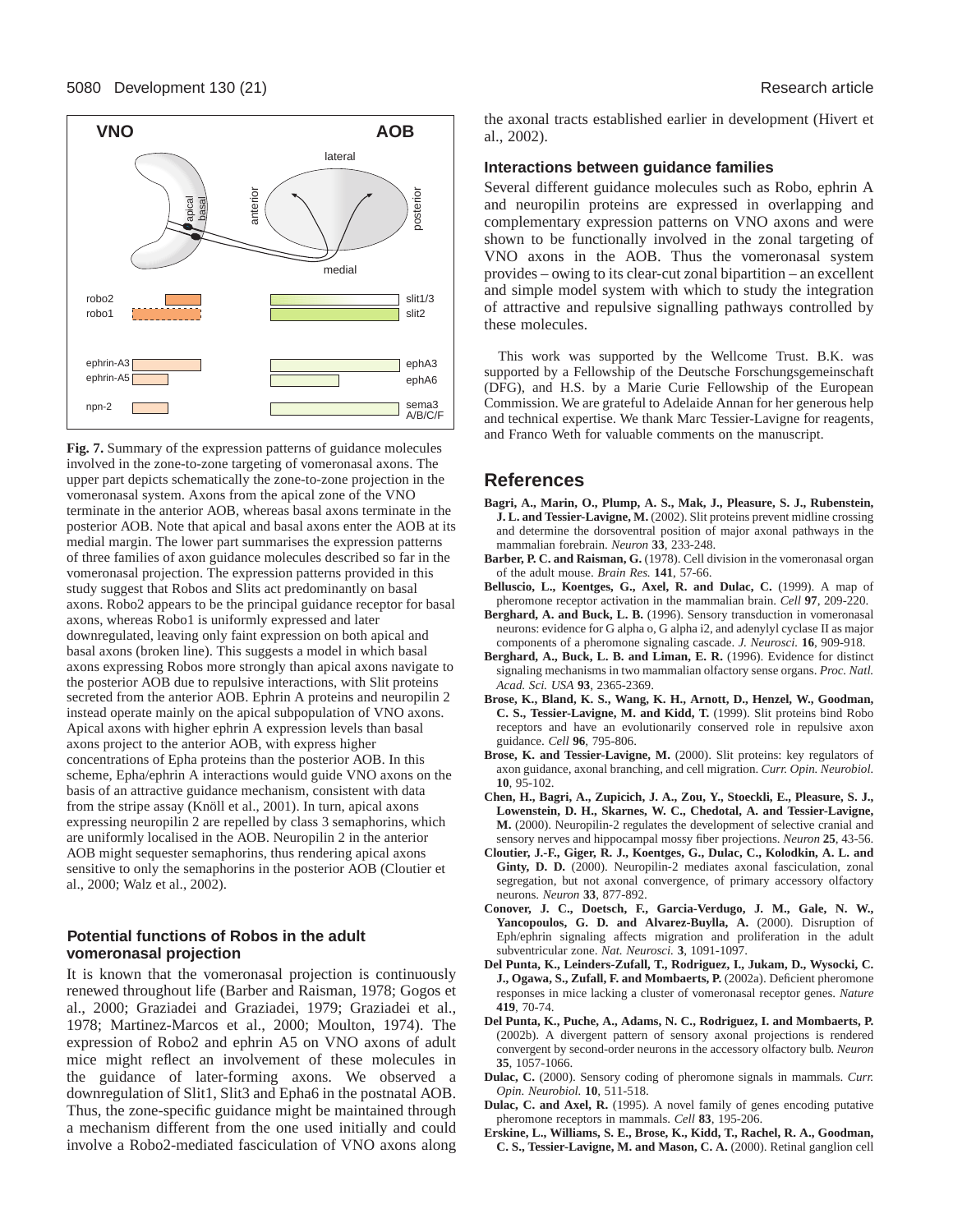

**Fig. 7.** Summary of the expression patterns of guidance molecules involved in the zone-to-zone targeting of vomeronasal axons. The upper part depicts schematically the zone-to-zone projection in the vomeronasal system. Axons from the apical zone of the VNO terminate in the anterior AOB, whereas basal axons terminate in the posterior AOB. Note that apical and basal axons enter the AOB at its medial margin. The lower part summarises the expression patterns of three families of axon guidance molecules described so far in the vomeronasal projection. The expression patterns provided in this study suggest that Robos and Slits act predominantly on basal axons. Robo2 appears to be the principal guidance receptor for basal axons, whereas Robo1 is uniformly expressed and later downregulated, leaving only faint expression on both apical and basal axons (broken line). This suggests a model in which basal axons expressing Robos more strongly than apical axons navigate to the posterior AOB due to repulsive interactions, with Slit proteins secreted from the anterior AOB. Ephrin A proteins and neuropilin 2 instead operate mainly on the apical subpopulation of VNO axons. Apical axons with higher ephrin A expression levels than basal axons project to the anterior AOB, with express higher concentrations of Epha proteins than the posterior AOB. In this scheme, Epha/ephrin A interactions would guide VNO axons on the basis of an attractive guidance mechanism, consistent with data from the stripe assay (Knöll et al., 2001). In turn, apical axons expressing neuropilin 2 are repelled by class 3 semaphorins, which are uniformly localised in the AOB. Neuropilin 2 in the anterior AOB might sequester semaphorins, thus rendering apical axons sensitive to only the semaphorins in the posterior AOB (Cloutier et al., 2000; Walz et al., 2002).

# **Potential functions of Robos in the adult vomeronasal projection**

It is known that the vomeronasal projection is continuously renewed throughout life (Barber and Raisman, 1978; Gogos et al., 2000; Graziadei and Graziadei, 1979; Graziadei et al., 1978; Martinez-Marcos et al., 2000; Moulton, 1974). The expression of Robo2 and ephrin A5 on VNO axons of adult mice might reflect an involvement of these molecules in the guidance of later-forming axons. We observed a downregulation of Slit1, Slit3 and Epha6 in the postnatal AOB. Thus, the zone-specific guidance might be maintained through a mechanism different from the one used initially and could involve a Robo2-mediated fasciculation of VNO axons along

the axonal tracts established earlier in development (Hivert et al., 2002).

#### **Interactions between guidance families**

Several different guidance molecules such as Robo, ephrin A and neuropilin proteins are expressed in overlapping and complementary expression patterns on VNO axons and were shown to be functionally involved in the zonal targeting of VNO axons in the AOB. Thus the vomeronasal system provides – owing to its clear-cut zonal bipartition – an excellent and simple model system with which to study the integration of attractive and repulsive signalling pathways controlled by these molecules.

This work was supported by the Wellcome Trust. B.K. was supported by a Fellowship of the Deutsche Forschungsgemeinschaft (DFG), and H.S. by a Marie Curie Fellowship of the European Commission. We are grateful to Adelaide Annan for her generous help and technical expertise. We thank Marc Tessier-Lavigne for reagents, and Franco Weth for valuable comments on the manuscript.

## **References**

- **Bagri, A., Marin, O., Plump, A. S., Mak, J., Pleasure, S. J., Rubenstein, J. L. and Tessier-Lavigne, M.** (2002). Slit proteins prevent midline crossing and determine the dorsoventral position of major axonal pathways in the mammalian forebrain. *Neuron* **33**, 233-248.
- **Barber, P. C. and Raisman, G.** (1978). Cell division in the vomeronasal organ of the adult mouse. *Brain Res.* **141**, 57-66.
- **Belluscio, L., Koentges, G., Axel, R. and Dulac, C.** (1999). A map of pheromone receptor activation in the mammalian brain. *Cell* **97**, 209-220.
- **Berghard, A. and Buck, L. B.** (1996). Sensory transduction in vomeronasal neurons: evidence for G alpha o, G alpha i2, and adenylyl cyclase II as major components of a pheromone signaling cascade. *J. Neurosci.* **16**, 909-918.
- **Berghard, A., Buck, L. B. and Liman, E. R.** (1996). Evidence for distinct signaling mechanisms in two mammalian olfactory sense organs. *Proc. Natl. Acad. Sci. USA* **93**, 2365-2369.
- **Brose, K., Bland, K. S., Wang, K. H., Arnott, D., Henzel, W., Goodman, C. S., Tessier-Lavigne, M. and Kidd, T.** (1999). Slit proteins bind Robo receptors and have an evolutionarily conserved role in repulsive axon guidance. *Cell* **96**, 795-806.
- **Brose, K. and Tessier-Lavigne, M.** (2000). Slit proteins: key regulators of axon guidance, axonal branching, and cell migration. *Curr. Opin. Neurobiol.* **10**, 95-102.
- **Chen, H., Bagri, A., Zupicich, J. A., Zou, Y., Stoeckli, E., Pleasure, S. J., Lowenstein, D. H., Skarnes, W. C., Chedotal, A. and Tessier-Lavigne, M.** (2000). Neuropilin-2 regulates the development of selective cranial and sensory nerves and hippocampal mossy fiber projections. *Neuron* **25**, 43-56.
- **Cloutier, J.-F., Giger, R. J., Koentges, G., Dulac, C., Kolodkin, A. L. and Ginty, D. D.** (2000). Neuropilin-2 mediates axonal fasciculation, zonal segregation, but not axonal convergence, of primary accessory olfactory neurons. *Neuron* **33**, 877-892.
- **Conover, J. C., Doetsch, F., Garcia-Verdugo, J. M., Gale, N. W., Yancopoulos, G. D. and Alvarez-Buylla, A.** (2000). Disruption of Eph/ephrin signaling affects migration and proliferation in the adult subventricular zone. *Nat. Neurosci.* **3**, 1091-1097.
- **Del Punta, K., Leinders-Zufall, T., Rodriguez, I., Jukam, D., Wysocki, C. J., Ogawa, S., Zufall, F. and Mombaerts, P.** (2002a). Deficient pheromone responses in mice lacking a cluster of vomeronasal receptor genes. *Nature* **419**, 70-74.
- **Del Punta, K., Puche, A., Adams, N. C., Rodriguez, I. and Mombaerts, P.** (2002b). A divergent pattern of sensory axonal projections is rendered convergent by second-order neurons in the accessory olfactory bulb. *Neuron* **35**, 1057-1066.
- **Dulac, C.** (2000). Sensory coding of pheromone signals in mammals. *Curr. Opin. Neurobiol.* **10**, 511-518.
- **Dulac, C. and Axel, R.** (1995). A novel family of genes encoding putative pheromone receptors in mammals. *Cell* **83**, 195-206.
- **Erskine, L., Williams, S. E., Brose, K., Kidd, T., Rachel, R. A., Goodman, C. S., Tessier-Lavigne, M. and Mason, C. A.** (2000). Retinal ganglion cell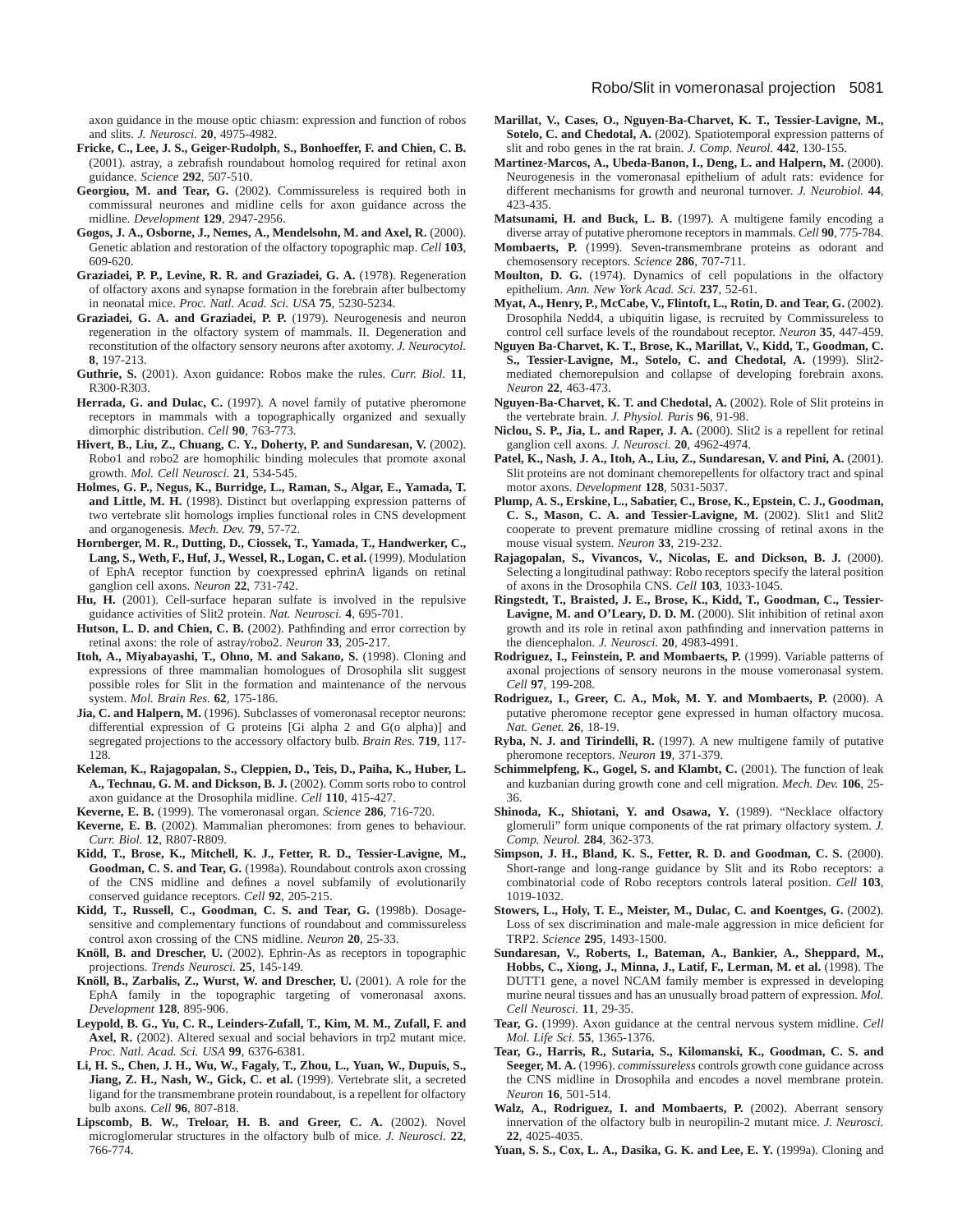axon guidance in the mouse optic chiasm: expression and function of robos and slits. *J. Neurosci.* **20**, 4975-4982.

- **Fricke, C., Lee, J. S., Geiger-Rudolph, S., Bonhoeffer, F. and Chien, C. B.** (2001). astray, a zebrafish roundabout homolog required for retinal axon guidance. *Science* **292**, 507-510.
- **Georgiou, M. and Tear, G.** (2002). Commissureless is required both in commissural neurones and midline cells for axon guidance across the midline. *Development* **129**, 2947-2956.
- **Gogos, J. A., Osborne, J., Nemes, A., Mendelsohn, M. and Axel, R.** (2000). Genetic ablation and restoration of the olfactory topographic map. *Cell* **103**, 609-620.
- **Graziadei, P. P., Levine, R. R. and Graziadei, G. A.** (1978). Regeneration of olfactory axons and synapse formation in the forebrain after bulbectomy in neonatal mice. *Proc. Natl. Acad. Sci. USA* **75**, 5230-5234.
- **Graziadei, G. A. and Graziadei, P. P.** (1979). Neurogenesis and neuron regeneration in the olfactory system of mammals. II. Degeneration and reconstitution of the olfactory sensory neurons after axotomy. *J. Neurocytol.* **8**, 197-213.
- **Guthrie, S.** (2001). Axon guidance: Robos make the rules. *Curr. Biol.* **11**, R300-R303.
- Herrada, G. and Dulac, C. (1997). A novel family of putative pheromone receptors in mammals with a topographically organized and sexually dimorphic distribution. *Cell* **90**, 763-773.
- **Hivert, B., Liu, Z., Chuang, C. Y., Doherty, P. and Sundaresan, V.** (2002). Robo1 and robo2 are homophilic binding molecules that promote axonal growth. *Mol. Cell Neurosci.* **21**, 534-545.
- **Holmes, G. P., Negus, K., Burridge, L., Raman, S., Algar, E., Yamada, T. and Little, M. H.** (1998). Distinct but overlapping expression patterns of two vertebrate slit homologs implies functional roles in CNS development and organogenesis. *Mech. Dev.* **79**, 57-72.
- **Hornberger, M. R., Dutting, D., Ciossek, T., Yamada, T., Handwerker, C.,** Lang, S., Weth, F., Huf, J., Wessel, R., Logan, C. et al. (1999). Modulation of EphA receptor function by coexpressed ephrinA ligands on retinal ganglion cell axons. *Neuron* **22**, 731-742.
- **Hu, H.** (2001). Cell-surface heparan sulfate is involved in the repulsive guidance activities of Slit2 protein. *Nat. Neurosci.* **4**, 695-701.
- **Hutson, L. D. and Chien, C. B.** (2002). Pathfinding and error correction by retinal axons: the role of astray/robo2. *Neuron* **33**, 205-217.
- **Itoh, A., Miyabayashi, T., Ohno, M. and Sakano, S.** (1998). Cloning and expressions of three mammalian homologues of Drosophila slit suggest possible roles for Slit in the formation and maintenance of the nervous system. *Mol. Brain Res.* **62**, 175-186.
- **Jia, C. and Halpern, M.** (1996). Subclasses of vomeronasal receptor neurons: differential expression of G proteins [Gi alpha 2 and G(o alpha)] and segregated projections to the accessory olfactory bulb. *Brain Res.* **719**, 117- 128.
- **Keleman, K., Rajagopalan, S., Cleppien, D., Teis, D., Paiha, K., Huber, L. A., Technau, G. M. and Dickson, B. J.** (2002). Comm sorts robo to control axon guidance at the Drosophila midline. *Cell* **110**, 415-427.
- **Keverne, E. B.** (1999). The vomeronasal organ. *Science* **286**, 716-720.
- **Keverne, E. B.** (2002). Mammalian pheromones: from genes to behaviour. *Curr. Biol.* **12**, R807-R809.
- **Kidd, T., Brose, K., Mitchell, K. J., Fetter, R. D., Tessier-Lavigne, M., Goodman, C. S. and Tear, G.** (1998a). Roundabout controls axon crossing of the CNS midline and defines a novel subfamily of evolutionarily conserved guidance receptors. *Cell* **92**, 205-215.
- **Kidd, T., Russell, C., Goodman, C. S. and Tear, G.** (1998b). Dosagesensitive and complementary functions of roundabout and commissureless control axon crossing of the CNS midline. *Neuron* **20**, 25-33.
- **Knöll, B. and Drescher, U.** (2002). Ephrin-As as receptors in topographic projections. *Trends Neurosci.* **25**, 145-149.
- **Knöll, B., Zarbalis, Z., Wurst, W. and Drescher, U.** (2001). A role for the EphA family in the topographic targeting of vomeronasal axons. *Development* **128**, 895-906.
- **Leypold, B. G., Yu, C. R., Leinders-Zufall, T., Kim, M. M., Zufall, F. and Axel, R.** (2002). Altered sexual and social behaviors in trp2 mutant mice. *Proc. Natl. Acad. Sci. USA* **99**, 6376-6381.
- **Li, H. S., Chen, J. H., Wu, W., Fagaly, T., Zhou, L., Yuan, W., Dupuis, S., Jiang, Z. H., Nash, W., Gick, C. et al.** (1999). Vertebrate slit, a secreted ligand for the transmembrane protein roundabout, is a repellent for olfactory bulb axons. *Cell* **96**, 807-818.
- **Lipscomb, B. W., Treloar, H. B. and Greer, C. A.** (2002). Novel microglomerular structures in the olfactory bulb of mice. *J. Neurosci.* **22**, 766-774.
- **Marillat, V., Cases, O., Nguyen-Ba-Charvet, K. T., Tessier-Lavigne, M., Sotelo, C. and Chedotal, A.** (2002). Spatiotemporal expression patterns of slit and robo genes in the rat brain. *J. Comp. Neurol.* **442**, 130-155.
- **Martinez-Marcos, A., Ubeda-Banon, I., Deng, L. and Halpern, M.** (2000). Neurogenesis in the vomeronasal epithelium of adult rats: evidence for different mechanisms for growth and neuronal turnover. *J. Neurobiol.* **44**, 423-435.
- **Matsunami, H. and Buck, L. B.** (1997). A multigene family encoding a
- diverse array of putative pheromone receptors in mammals. *Cell* **90**, 775-784. **Mombaerts, P.** (1999). Seven-transmembrane proteins as odorant and chemosensory receptors. *Science* **286**, 707-711.
- **Moulton, D. G.** (1974). Dynamics of cell populations in the olfactory epithelium. *Ann. New York Acad. Sci.* **237**, 52-61.
- **Myat, A., Henry, P., McCabe, V., Flintoft, L., Rotin, D. and Tear, G.** (2002). Drosophila Nedd4, a ubiquitin ligase, is recruited by Commissureless to control cell surface levels of the roundabout receptor. *Neuron* **35**, 447-459.
- **Nguyen Ba-Charvet, K. T., Brose, K., Marillat, V., Kidd, T., Goodman, C. S., Tessier-Lavigne, M., Sotelo, C. and Chedotal, A.** (1999). Slit2 mediated chemorepulsion and collapse of developing forebrain axons. *Neuron* **22**, 463-473.
- **Nguyen-Ba-Charvet, K. T. and Chedotal, A.** (2002). Role of Slit proteins in the vertebrate brain. *J. Physiol. Paris* **96**, 91-98.
- **Niclou, S. P., Jia, L. and Raper, J. A.** (2000). Slit2 is a repellent for retinal ganglion cell axons. *J. Neurosci.* **20**, 4962-4974.
- **Patel, K., Nash, J. A., Itoh, A., Liu, Z., Sundaresan, V. and Pini, A.** (2001). Slit proteins are not dominant chemorepellents for olfactory tract and spinal motor axons. *Development* **128**, 5031-5037.
- **Plump, A. S., Erskine, L., Sabatier, C., Brose, K., Epstein, C. J., Goodman, C. S., Mason, C. A. and Tessier-Lavigne, M.** (2002). Slit1 and Slit2 cooperate to prevent premature midline crossing of retinal axons in the mouse visual system. *Neuron* **33**, 219-232.
- **Rajagopalan, S., Vivancos, V., Nicolas, E. and Dickson, B. J.** (2000). Selecting a longitudinal pathway: Robo receptors specify the lateral position of axons in the Drosophila CNS. *Cell* **103**, 1033-1045.
- **Ringstedt, T., Braisted, J. E., Brose, K., Kidd, T., Goodman, C., Tessier-Lavigne, M. and O'Leary, D. D. M.** (2000). Slit inhibition of retinal axon growth and its role in retinal axon pathfinding and innervation patterns in the diencephalon. *J. Neurosci.* **20**, 4983-4991.
- **Rodriguez, I., Feinstein, P. and Mombaerts, P.** (1999). Variable patterns of axonal projections of sensory neurons in the mouse vomeronasal system. *Cell* **97**, 199-208.
- **Rodriguez, I., Greer, C. A., Mok, M. Y. and Mombaerts, P.** (2000). A putative pheromone receptor gene expressed in human olfactory mucosa. *Nat. Genet.* **26**, 18-19.
- **Ryba, N. J. and Tirindelli, R.** (1997). A new multigene family of putative pheromone receptors. *Neuron* **19**, 371-379.
- **Schimmelpfeng, K., Gogel, S. and Klambt, C.** (2001). The function of leak and kuzbanian during growth cone and cell migration. *Mech. Dev.* **106**, 25- 36.
- **Shinoda, K., Shiotani, Y. and Osawa, Y.** (1989). "Necklace olfactory glomeruli" form unique components of the rat primary olfactory system. *J. Comp. Neurol.* **284**, 362-373.
- **Simpson, J. H., Bland, K. S., Fetter, R. D. and Goodman, C. S.** (2000). Short-range and long-range guidance by Slit and its Robo receptors: a combinatorial code of Robo receptors controls lateral position. *Cell* **103**, 1019-1032.
- **Stowers, L., Holy, T. E., Meister, M., Dulac, C. and Koentges, G.** (2002). Loss of sex discrimination and male-male aggression in mice deficient for TRP2. *Science* **295**, 1493-1500.
- **Sundaresan, V., Roberts, I., Bateman, A., Bankier, A., Sheppard, M., Hobbs, C., Xiong, J., Minna, J., Latif, F., Lerman, M. et al.** (1998). The DUTT1 gene, a novel NCAM family member is expressed in developing murine neural tissues and has an unusually broad pattern of expression. *Mol. Cell Neurosci.* **11**, 29-35.
- **Tear, G.** (1999). Axon guidance at the central nervous system midline. *Cell Mol. Life Sci.* **55**, 1365-1376.
- **Tear, G., Harris, R., Sutaria, S., Kilomanski, K., Goodman, C. S. and Seeger, M. A.** (1996). *commissureless* controls growth cone guidance across the CNS midline in Drosophila and encodes a novel membrane protein. *Neuron* **16**, 501-514.
- **Walz, A., Rodriguez, I. and Mombaerts, P.** (2002). Aberrant sensory innervation of the olfactory bulb in neuropilin-2 mutant mice. *J. Neurosci.* **22**, 4025-4035.
- **Yuan, S. S., Cox, L. A., Dasika, G. K. and Lee, E. Y.** (1999a). Cloning and